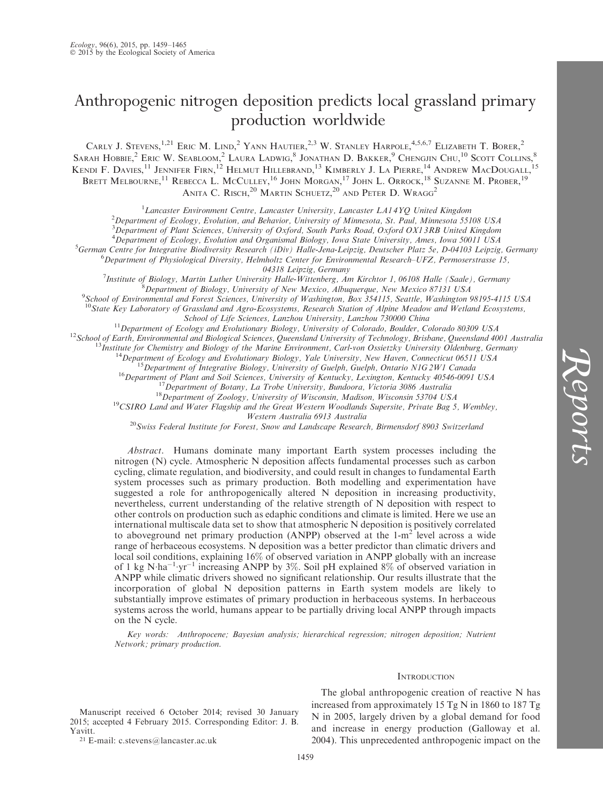# Anthropogenic nitrogen deposition predicts local grassland primary production worldwide

CARLY J. STEVENS,<sup>1,21</sup> ERIC M. LIND,<sup>2</sup> YANN HAUTIER,<sup>2,3</sup> W. STANLEY HARPOLE,<sup>4,5,6,7</sup> ELIZABETH T. BORER,<sup>2</sup> SARAH HOBBIE,<sup>2</sup> ERIC W. SEABLOOM,<sup>2</sup> LAURA LADWIG,<sup>8</sup> JONATHAN D. BAKKER,<sup>9</sup> CHENGJIN CHU,<sup>10</sup> Scott Collins,<sup>8</sup> Kendi F. Davies,<sup>11</sup> Jennifer Firn,<sup>12</sup> Helmut Hillebrand,<sup>13</sup> Kimberly J. La Pierre,<sup>14</sup> Andrew MacDougall,<sup>15</sup> Brett Melbourne,<sup>11</sup> Rebecca L. McCulley,<sup>16</sup> John Morgan,<sup>17</sup> John L. Orrock,<sup>18</sup> Suzanne M. Prober,<sup>19</sup> ANITA C. RISCH, $^{20}$  Martin Schuetz, $^{20}$  and Peter D. Wragg<sup>2</sup>

<sup>1</sup> Lancaster Environment Centre, Lancaster University, Lancaster LA14YQ United Kingdom<br><sup>2</sup> Department of Ecology, Evolution, and Behavior, University of Minnesota, St. Paul, Minnesota 553

<sup>2</sup>Department of Ecology, Evolution, and Behavior, University of Minnesota, St. Paul, Minnesota 55108 USA

<sup>3</sup>Department of Plant Sciences, University of Oxford, South Parks Road, Oxford OX13RB United Kingdom

<sup>4</sup>Department of Ecology, Evolution and Organismal Biology, Iowa State University, Ames, Iowa 50011 USA<br><sup>5</sup>German Centre for Integrative Biodiversity Besearch (iDiv) Halle Iang Leinzig, Deutscher Platz 5e, D.04103 Leinzig

 ${}^5G$ erman Centre for Integrative Biodiversity Research (iDiv) Halle-Jena-Leipzig, Deutscher Platz 5e, D-04103 Leipzig, Germany  ${}^{6}$ Department of Physiological Diversity, Helmholtz Center for Environmental Research–UFZ, Permoserstrasse 15,<br>04318 Leipzig, Germany

04318 Leipzig, Germany<br><sup>7</sup>Institute of Piology, Maytin Luther University Hallo Wittenberg, Ar Institute of Biology, Martin Luther University Halle-Wittenberg, Am Kirchtor 1, 06108 Halle (Saale), Germany <sup>8</sup>

Department of Biology, University of New Mexico, Albuquerque, New Mexico 87131 USA <sup>9</sup>

School of Environmental and Forest Sciences, University of Washington, Box 354115, Seattle, Washington 98195-4115 USA

 $10$ State Key Laboratory of Grassland and Agro-Ecosystems, Research Station of Alpine Meadow and Wetland Ecosystems,

School of Life Sciences, Lanzhou University, Lanzhou 730000 China<br>
<sup>11</sup> Department of Ecology and Evolutionary Biology, University of Colorado, Boulder, Colorado 80309 USA<br>
<sup>12</sup> School of Earth, Environmental and Biologica

 $^{20}$ Swiss Federal Institute for Forest, Snow and Landscape Research, Birmensdorf 8903 Switzerland

Abstract. Humans dominate many important Earth system processes including the nitrogen (N) cycle. Atmospheric N deposition affects fundamental processes such as carbon cycling, climate regulation, and biodiversity, and could result in changes to fundamental Earth system processes such as primary production. Both modelling and experimentation have suggested a role for anthropogenically altered N deposition in increasing productivity, nevertheless, current understanding of the relative strength of N deposition with respect to other controls on production such as edaphic conditions and climate is limited. Here we use an international multiscale data set to show that atmospheric N deposition is positively correlated to aboveground net primary production (ANPP) observed at the 1-m<sup>2</sup> level across a wide range of herbaceous ecosystems. N deposition was a better predictor than climatic drivers and local soil conditions, explaining 16% of observed variation in ANPP globally with an increase of 1 kg N·ha<sup>-1</sup>·yr<sup>-1</sup> increasing ANPP by 3%. Soil pH explained 8% of observed variation in ANPP while climatic drivers showed no significant relationship. Our results illustrate that the incorporation of global N deposition patterns in Earth system models are likely to substantially improve estimates of primary production in herbaceous systems. In herbaceous systems across the world, humans appear to be partially driving local ANPP through impacts on the N cycle.

Key words: Anthropocene; Bayesian analysis; hierarchical regression; nitrogen deposition; Nutrient Network; primary production.

# **INTRODUCTION**

Reports

Manuscript received 6 October 2014; revised 30 January 2015; accepted 4 February 2015. Corresponding Editor: J. B. Yavitt.

<sup>21</sup> E-mail: c.stevens@lancaster.ac.uk

The global anthropogenic creation of reactive N has increased from approximately 15 Tg N in 1860 to 187 Tg N in 2005, largely driven by a global demand for food and increase in energy production (Galloway et al. 2004). This unprecedented anthropogenic impact on the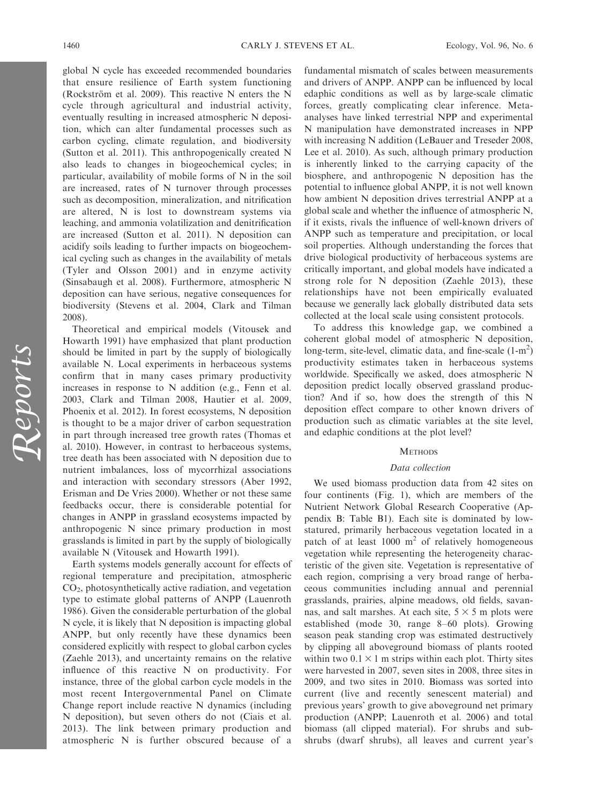global N cycle has exceeded recommended boundaries that ensure resilience of Earth system functioning (Rockström et al. 2009). This reactive N enters the N cycle through agricultural and industrial activity, eventually resulting in increased atmospheric N deposition, which can alter fundamental processes such as carbon cycling, climate regulation, and biodiversity (Sutton et al. 2011). This anthropogenically created N also leads to changes in biogeochemical cycles; in particular, availability of mobile forms of N in the soil are increased, rates of N turnover through processes such as decomposition, mineralization, and nitrification are altered, N is lost to downstream systems via leaching, and ammonia volatilization and denitrification are increased (Sutton et al. 2011). N deposition can acidify soils leading to further impacts on biogeochemical cycling such as changes in the availability of metals (Tyler and Olsson 2001) and in enzyme activity (Sinsabaugh et al. 2008). Furthermore, atmospheric N deposition can have serious, negative consequences for biodiversity (Stevens et al. 2004, Clark and Tilman 2008).

Theoretical and empirical models (Vitousek and Howarth 1991) have emphasized that plant production should be limited in part by the supply of biologically available N. Local experiments in herbaceous systems confirm that in many cases primary productivity increases in response to N addition (e.g., Fenn et al. 2003, Clark and Tilman 2008, Hautier et al. 2009, Phoenix et al. 2012). In forest ecosystems, N deposition is thought to be a major driver of carbon sequestration in part through increased tree growth rates (Thomas et al. 2010). However, in contrast to herbaceous systems, tree death has been associated with N deposition due to nutrient imbalances, loss of mycorrhizal associations and interaction with secondary stressors (Aber 1992, Erisman and De Vries 2000). Whether or not these same feedbacks occur, there is considerable potential for changes in ANPP in grassland ecosystems impacted by anthropogenic N since primary production in most grasslands is limited in part by the supply of biologically available N (Vitousek and Howarth 1991).

Earth systems models generally account for effects of regional temperature and precipitation, atmospheric  $CO<sub>2</sub>$ , photosynthetically active radiation, and vegetation type to estimate global patterns of ANPP (Lauenroth 1986). Given the considerable perturbation of the global N cycle, it is likely that N deposition is impacting global ANPP, but only recently have these dynamics been considered explicitly with respect to global carbon cycles (Zaehle 2013), and uncertainty remains on the relative influence of this reactive N on productivity. For instance, three of the global carbon cycle models in the most recent Intergovernmental Panel on Climate Change report include reactive N dynamics (including N deposition), but seven others do not (Ciais et al. 2013). The link between primary production and atmospheric N is further obscured because of a

fundamental mismatch of scales between measurements and drivers of ANPP. ANPP can be influenced by local edaphic conditions as well as by large-scale climatic forces, greatly complicating clear inference. Metaanalyses have linked terrestrial NPP and experimental N manipulation have demonstrated increases in NPP with increasing N addition (LeBauer and Treseder 2008, Lee et al. 2010). As such, although primary production is inherently linked to the carrying capacity of the biosphere, and anthropogenic N deposition has the potential to influence global ANPP, it is not well known how ambient N deposition drives terrestrial ANPP at a global scale and whether the influence of atmospheric N, if it exists, rivals the influence of well-known drivers of ANPP such as temperature and precipitation, or local soil properties. Although understanding the forces that drive biological productivity of herbaceous systems are critically important, and global models have indicated a strong role for N deposition (Zaehle 2013), these relationships have not been empirically evaluated because we generally lack globally distributed data sets collected at the local scale using consistent protocols.

To address this knowledge gap, we combined a coherent global model of atmospheric N deposition, long-term, site-level, climatic data, and fine-scale  $(1-m^2)$ productivity estimates taken in herbaceous systems worldwide. Specifically we asked, does atmospheric N deposition predict locally observed grassland production? And if so, how does the strength of this N deposition effect compare to other known drivers of production such as climatic variables at the site level, and edaphic conditions at the plot level?

# **METHODS**

# Data collection

We used biomass production data from 42 sites on four continents (Fig. 1), which are members of the Nutrient Network Global Research Cooperative (Appendix B: Table B1). Each site is dominated by lowstatured, primarily herbaceous vegetation located in a patch of at least  $1000 \text{ m}^2$  of relatively homogeneous vegetation while representing the heterogeneity characteristic of the given site. Vegetation is representative of each region, comprising a very broad range of herbaceous communities including annual and perennial grasslands, prairies, alpine meadows, old fields, savannas, and salt marshes. At each site,  $5 \times 5$  m plots were established (mode 30, range 8–60 plots). Growing season peak standing crop was estimated destructively by clipping all aboveground biomass of plants rooted within two  $0.1 \times 1$  m strips within each plot. Thirty sites were harvested in 2007, seven sites in 2008, three sites in 2009, and two sites in 2010. Biomass was sorted into current (live and recently senescent material) and previous years' growth to give aboveground net primary production (ANPP; Lauenroth et al. 2006) and total biomass (all clipped material). For shrubs and subshrubs (dwarf shrubs), all leaves and current year's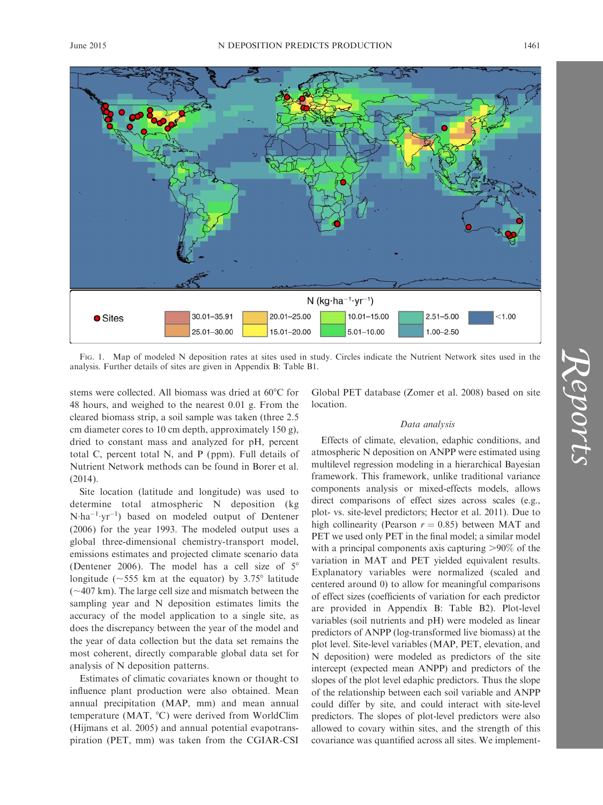



FIG. 1. Map of modeled N deposition rates at sites used in study. Circles indicate the Nutrient Network sites used in the analysis. Further details of sites are given in Appendix B: Table B1.

stems were collected. All biomass was dried at  $60^{\circ}$ C for 48 hours, and weighed to the nearest 0.01 g. From the cleared biomass strip, a soil sample was taken (three 2.5 cm diameter cores to 10 cm depth, approximately 150 g), dried to constant mass and analyzed for pH, percent total C, percent total N, and P (ppm). Full details of Nutrient Network methods can be found in Borer et al. (2014).

Site location (latitude and longitude) was used to determine total atmospheric N deposition (kg  $N \cdot ha^{-1} \cdot yr^{-1}$ ) based on modeled output of Dentener (2006) for the year 1993. The modeled output uses a global three-dimensional chemistry-transport model, emissions estimates and projected climate scenario data (Dentener 2006). The model has a cell size of  $5^\circ$ longitude ( $\sim$ 555 km at the equator) by 3.75° latitude  $(-407 \text{ km})$ . The large cell size and mismatch between the sampling year and N deposition estimates limits the accuracy of the model application to a single site, as does the discrepancy between the year of the model and the year of data collection but the data set remains the most coherent, directly comparable global data set for analysis of N deposition patterns.

Estimates of climatic covariates known or thought to influence plant production were also obtained. Mean annual precipitation (MAP, mm) and mean annual temperature (MAT,  $^{\circ}$ C) were derived from WorldClim (Hijmans et al. 2005) and annual potential evapotranspiration (PET, mm) was taken from the CGIAR-CSI Global PET database (Zomer et al. 2008) based on site location.

# Data analysis

Effects of climate, elevation, edaphic conditions, and atmospheric N deposition on ANPP were estimated using multilevel regression modeling in a hierarchical Bayesian framework. This framework, unlike traditional variance components analysis or mixed-effects models, allows direct comparisons of effect sizes across scales (e.g., plot- vs. site-level predictors; Hector et al. 2011). Due to high collinearity (Pearson  $r = 0.85$ ) between MAT and PET we used only PET in the final model; a similar model with a principal components axis capturing  $>90\%$  of the variation in MAT and PET yielded equivalent results. Explanatory variables were normalized (scaled and centered around 0) to allow for meaningful comparisons of effect sizes (coefficients of variation for each predictor are provided in Appendix B: Table B2). Plot-level variables (soil nutrients and pH) were modeled as linear predictors of ANPP (log-transformed live biomass) at the plot level. Site-level variables (MAP, PET, elevation, and N deposition) were modeled as predictors of the site intercept (expected mean ANPP) and predictors of the slopes of the plot level edaphic predictors. Thus the slope of the relationship between each soil variable and ANPP could differ by site, and could interact with site-level predictors. The slopes of plot-level predictors were also allowed to covary within sites, and the strength of this covariance was quantified across all sites. We implement-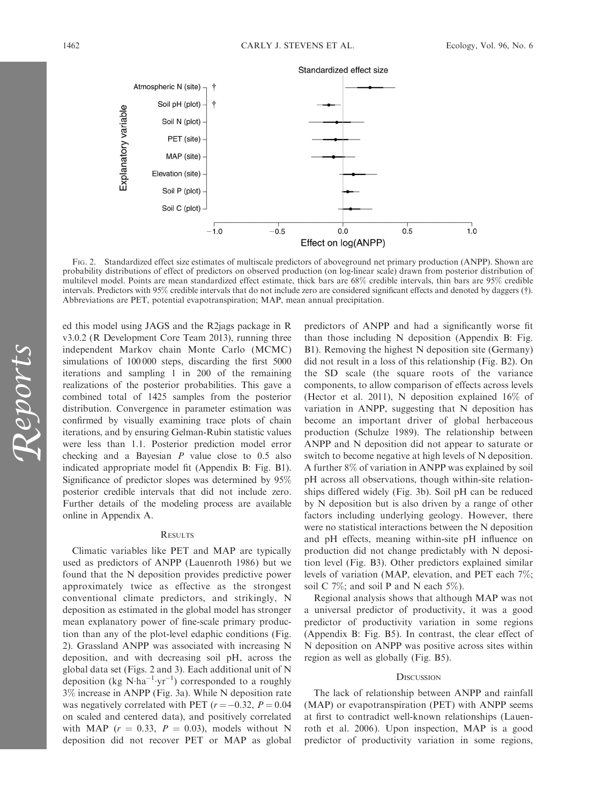

FIG. 2. Standardized effect size estimates of multiscale predictors of aboveground net primary production (ANPP). Shown are probability distributions of effect of predictors on observed production (on log-linear scale) drawn from posterior distribution of multilevel model. Points are mean standardized effect estimate, thick bars are 68% credible intervals, thin bars are 95% credible intervals. Predictors with 95% credible intervals that do not include zero are considered significant effects and denoted by daggers (-). Abbreviations are PET, potential evapotranspiration; MAP, mean annual precipitation.

ed this model using JAGS and the R2jags package in R v3.0.2 (R Development Core Team 2013), running three independent Markov chain Monte Carlo (MCMC) simulations of 100 000 steps, discarding the first 5000 iterations and sampling 1 in 200 of the remaining realizations of the posterior probabilities. This gave a combined total of 1425 samples from the posterior distribution. Convergence in parameter estimation was confirmed by visually examining trace plots of chain iterations, and by ensuring Gelman-Rubin statistic values were less than 1.1. Posterior prediction model error checking and a Bayesian  $P$  value close to 0.5 also indicated appropriate model fit (Appendix B: Fig. B1). Significance of predictor slopes was determined by 95% posterior credible intervals that did not include zero. Further details of the modeling process are available online in Appendix A.

# **RESULTS**

Climatic variables like PET and MAP are typically used as predictors of ANPP (Lauenroth 1986) but we found that the N deposition provides predictive power approximately twice as effective as the strongest conventional climate predictors, and strikingly, N deposition as estimated in the global model has stronger mean explanatory power of fine-scale primary production than any of the plot-level edaphic conditions (Fig. 2). Grassland ANPP was associated with increasing N deposition, and with decreasing soil pH, across the global data set (Figs. 2 and 3). Each additional unit of N deposition (kg  $N \cdot ha^{-1} \cdot yr^{-1}$ ) corresponded to a roughly 3% increase in ANPP (Fig. 3a). While N deposition rate was negatively correlated with PET ( $r = -0.32$ ,  $P = 0.04$ on scaled and centered data), and positively correlated with MAP ( $r = 0.33$ ,  $P = 0.03$ ), models without N deposition did not recover PET or MAP as global

predictors of ANPP and had a significantly worse fit than those including N deposition (Appendix B: Fig. B1). Removing the highest N deposition site (Germany) did not result in a loss of this relationship (Fig. B2). On the SD scale (the square roots of the variance components, to allow comparison of effects across levels (Hector et al. 2011), N deposition explained 16% of variation in ANPP, suggesting that N deposition has become an important driver of global herbaceous production (Schulze 1989). The relationship between ANPP and N deposition did not appear to saturate or switch to become negative at high levels of N deposition. A further 8% of variation in ANPP was explained by soil pH across all observations, though within-site relationships differed widely (Fig. 3b). Soil pH can be reduced by N deposition but is also driven by a range of other factors including underlying geology. However, there were no statistical interactions between the N deposition and pH effects, meaning within-site pH influence on production did not change predictably with N deposition level (Fig. B3). Other predictors explained similar levels of variation (MAP, elevation, and PET each 7%; soil C 7%; and soil P and N each 5%).

Regional analysis shows that although MAP was not a universal predictor of productivity, it was a good predictor of productivity variation in some regions (Appendix B: Fig. B5). In contrast, the clear effect of N deposition on ANPP was positive across sites within region as well as globally (Fig. B5).

#### **DISCUSSION**

The lack of relationship between ANPP and rainfall (MAP) or evapotranspiration (PET) with ANPP seems at first to contradict well-known relationships (Lauenroth et al. 2006). Upon inspection, MAP is a good predictor of productivity variation in some regions,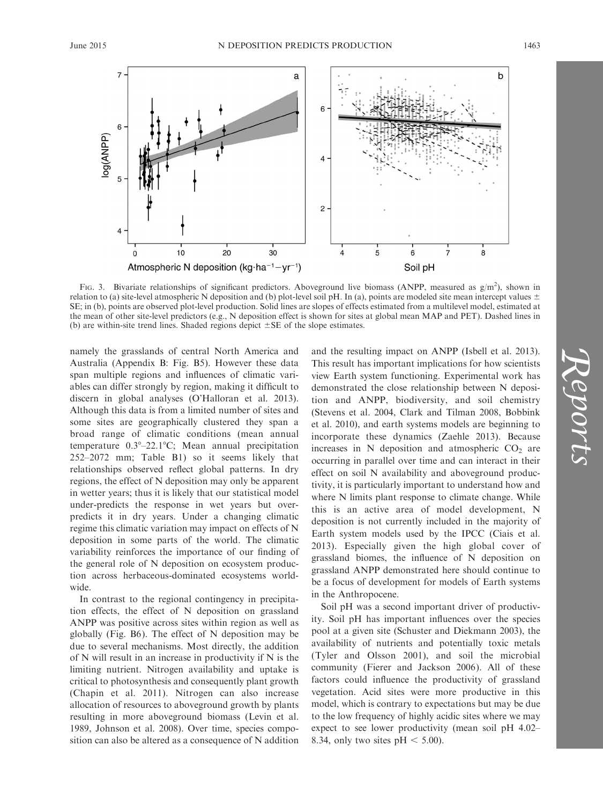



FIG. 3. Bivariate relationships of significant predictors. Aboveground live biomass (ANPP, measured as  $g/m^2$ ), shown in relation to (a) site-level atmospheric N deposition and (b) plot-level soil pH. In (a), points are modeled site mean intercept values  $\pm$ SE; in (b), points are observed plot-level production. Solid lines are slopes of effects estimated from a multilevel model, estimated at the mean of other site-level predictors (e.g., N deposition effect is shown for sites at global mean MAP and PET). Dashed lines in (b) are within-site trend lines. Shaded regions depict  $\pm$  SE of the slope estimates.

namely the grasslands of central North America and Australia (Appendix B: Fig. B5). However these data span multiple regions and influences of climatic variables can differ strongly by region, making it difficult to discern in global analyses (O'Halloran et al. 2013). Although this data is from a limited number of sites and some sites are geographically clustered they span a broad range of climatic conditions (mean annual temperature  $0.3^{\circ}-22.1^{\circ}$ C; Mean annual precipitation 252–2072 mm; Table B1) so it seems likely that relationships observed reflect global patterns. In dry regions, the effect of N deposition may only be apparent in wetter years; thus it is likely that our statistical model under-predicts the response in wet years but overpredicts it in dry years. Under a changing climatic regime this climatic variation may impact on effects of N deposition in some parts of the world. The climatic variability reinforces the importance of our finding of the general role of N deposition on ecosystem production across herbaceous-dominated ecosystems worldwide.

In contrast to the regional contingency in precipitation effects, the effect of N deposition on grassland ANPP was positive across sites within region as well as globally (Fig. B6). The effect of N deposition may be due to several mechanisms. Most directly, the addition of N will result in an increase in productivity if N is the limiting nutrient. Nitrogen availability and uptake is critical to photosynthesis and consequently plant growth (Chapin et al. 2011). Nitrogen can also increase allocation of resources to aboveground growth by plants resulting in more aboveground biomass (Levin et al. 1989, Johnson et al. 2008). Over time, species composition can also be altered as a consequence of N addition and the resulting impact on ANPP (Isbell et al. 2013). This result has important implications for how scientists view Earth system functioning. Experimental work has demonstrated the close relationship between N deposition and ANPP, biodiversity, and soil chemistry (Stevens et al. 2004, Clark and Tilman 2008, Bobbink et al. 2010), and earth systems models are beginning to incorporate these dynamics (Zaehle 2013). Because increases in  $N$  deposition and atmospheric  $CO<sub>2</sub>$  are occurring in parallel over time and can interact in their effect on soil N availability and aboveground productivity, it is particularly important to understand how and where N limits plant response to climate change. While this is an active area of model development, N deposition is not currently included in the majority of Earth system models used by the IPCC (Ciais et al. 2013). Especially given the high global cover of grassland biomes, the influence of N deposition on grassland ANPP demonstrated here should continue to be a focus of development for models of Earth systems in the Anthropocene.

Soil pH was a second important driver of productivity. Soil pH has important influences over the species pool at a given site (Schuster and Diekmann 2003), the availability of nutrients and potentially toxic metals (Tyler and Olsson 2001), and soil the microbial community (Fierer and Jackson 2006). All of these factors could influence the productivity of grassland vegetation. Acid sites were more productive in this model, which is contrary to expectations but may be due to the low frequency of highly acidic sites where we may expect to see lower productivity (mean soil pH 4.02– 8.34, only two sites  $pH < 5.00$ ).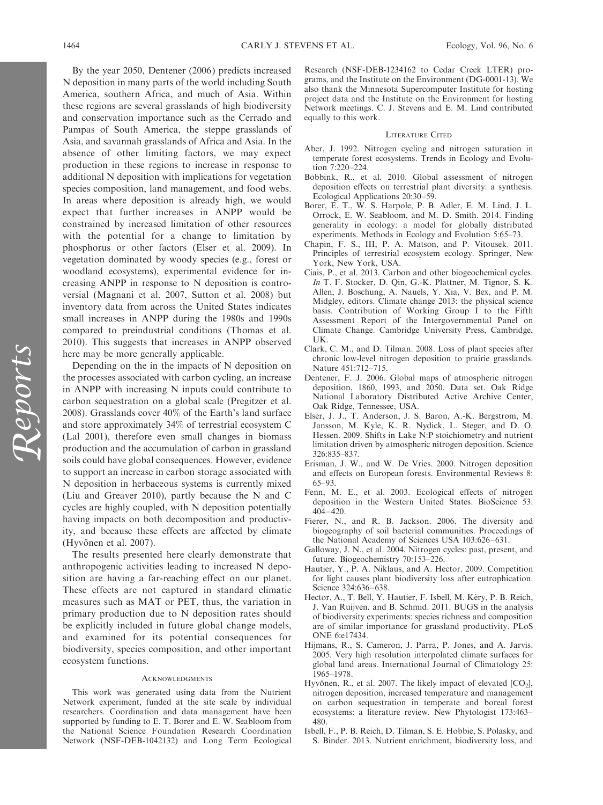Reports

By the year 2050, Dentener (2006) predicts increased N deposition in many parts of the world including South America, southern Africa, and much of Asia. Within these regions are several grasslands of high biodiversity and conservation importance such as the Cerrado and Pampas of South America, the steppe grasslands of Asia, and savannah grasslands of Africa and Asia. In the absence of other limiting factors, we may expect production in these regions to increase in response to additional N deposition with implications for vegetation species composition, land management, and food webs. In areas where deposition is already high, we would expect that further increases in ANPP would be constrained by increased limitation of other resources with the potential for a change to limitation by phosphorus or other factors (Elser et al. 2009). In vegetation dominated by woody species (e.g., forest or woodland ecosystems), experimental evidence for increasing ANPP in response to N deposition is controversial (Magnani et al. 2007, Sutton et al. 2008) but inventory data from across the United States indicates small increases in ANPP during the 1980s and 1990s compared to preindustrial conditions (Thomas et al. 2010). This suggests that increases in ANPP observed here may be more generally applicable.

Depending on the in the impacts of N deposition on the processes associated with carbon cycling, an increase in ANPP with increasing N inputs could contribute to carbon sequestration on a global scale (Pregitzer et al. 2008). Grasslands cover 40% of the Earth's land surface and store approximately 34% of terrestrial ecosystem C (Lal 2001), therefore even small changes in biomass production and the accumulation of carbon in grassland soils could have global consequences. However, evidence to support an increase in carbon storage associated with N deposition in herbaceous systems is currently mixed (Liu and Greaver 2010), partly because the N and C cycles are highly coupled, with N deposition potentially having impacts on both decomposition and productivity, and because these effects are affected by climate (Hyvönen et al. 2007).

The results presented here clearly demonstrate that anthropogenic activities leading to increased N deposition are having a far-reaching effect on our planet. These effects are not captured in standard climatic measures such as MAT or PET, thus, the variation in primary production due to N deposition rates should be explicitly included in future global change models, and examined for its potential consequences for biodiversity, species composition, and other important ecosystem functions.

#### ACKNOWLEDGMENTS

This work was generated using data from the Nutrient Network experiment, funded at the site scale by individual researchers. Coordination and data management have been supported by funding to E. T. Borer and E. W. Seabloom from the National Science Foundation Research Coordination Network (NSF-DEB-1042132) and Long Term Ecological Research (NSF-DEB-1234162 to Cedar Creek LTER) programs, and the Institute on the Environment (DG-0001-13). We also thank the Minnesota Supercomputer Institute for hosting project data and the Institute on the Environment for hosting Network meetings. C. J. Stevens and E. M. Lind contributed equally to this work.

### LITERATURE CITED

- Aber, J. 1992. Nitrogen cycling and nitrogen saturation in temperate forest ecosystems. Trends in Ecology and Evolution 7:220–224.
- Bobbink, R., et al. 2010. Global assessment of nitrogen deposition effects on terrestrial plant diversity: a synthesis. Ecological Applications 20:30–59.
- Borer, E. T., W. S. Harpole, P. B. Adler, E. M. Lind, J. L. Orrock, E. W. Seabloom, and M. D. Smith. 2014. Finding generality in ecology: a model for globally distributed experiments. Methods in Ecology and Evolution 5:65–73.
- Chapin, F. S., III, P. A. Matson, and P. Vitousek. 2011. Principles of terrestrial ecosystem ecology. Springer, New York, New York, USA.
- Ciais, P., et al. 2013. Carbon and other biogeochemical cycles. In T. F. Stocker, D. Qin, G.-K. Plattner, M. Tignor, S. K. Allen, J. Boschung, A. Nauels, Y. Xia, V. Bex, and P. M. Midgley, editors. Climate change 2013: the physical science basis. Contribution of Working Group I to the Fifth Assessment Report of the Intergovernmental Panel on Climate Change. Cambridge University Press, Cambridge, UK.
- Clark, C. M., and D. Tilman. 2008. Loss of plant species after chronic low-level nitrogen deposition to prairie grasslands. Nature 451:712–715.
- Dentener, F. J. 2006. Global maps of atmospheric nitrogen deposition, 1860, 1993, and 2050. Data set. Oak Ridge National Laboratory Distributed Active Archive Center, Oak Ridge, Tennessee, USA.
- Elser, J. J., T. Anderson, J. S. Baron, A.-K. Bergstrom, M. Jansson, M. Kyle, K. R. Nydick, L. Steger, and D. O. Hessen. 2009. Shifts in Lake N:P stoichiometry and nutrient limitation driven by atmospheric nitrogen deposition. Science 326:835–837.
- Erisman, J. W., and W. De Vries. 2000. Nitrogen deposition and effects on European forests. Environmental Reviews 8: 65–93.
- Fenn, M. E., et al. 2003. Ecological effects of nitrogen deposition in the Western United States. BioScience 53: 404–420.
- Fierer, N., and R. B. Jackson. 2006. The diversity and biogeography of soil bacterial communities. Proceedings of the National Academy of Sciences USA 103:626–631.
- Galloway, J. N., et al. 2004. Nitrogen cycles: past, present, and future. Biogeochemistry 70:153–226.
- Hautier, Y., P. A. Niklaus, and A. Hector. 2009. Competition for light causes plant biodiversity loss after eutrophication. Science 324:636–638.
- Hector, A., T. Bell, Y. Hautier, F. Isbell, M. Kéry, P. B. Reich, J. Van Ruijven, and B. Schmid. 2011. BUGS in the analysis of biodiversity experiments: species richness and composition are of similar importance for grassland productivity. PLoS ONE 6:e17434.
- Hijmans, R., S. Cameron, J. Parra, P. Jones, and A. Jarvis. 2005. Very high resolution interpolated climate surfaces for global land areas. International Journal of Climatology 25: 1965–1978.
- Hyvönen, R., et al. 2007. The likely impact of elevated  $[CO_2]$ , nitrogen deposition, increased temperature and management on carbon sequestration in temperate and boreal forest ecosystems: a literature review. New Phytologist 173:463– 480.
- Isbell, F., P. B. Reich, D. Tilman, S. E. Hobbie, S. Polasky, and S. Binder. 2013. Nutrient enrichment, biodiversity loss, and